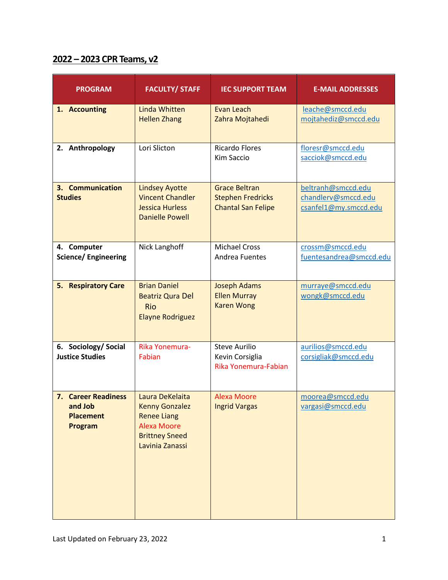## **2022 – 2023 CPR Teams, v2**

| <b>PROGRAM</b>                                                | <b>FACULTY/ STAFF</b>                                                                                                            | <b>IEC SUPPORT TEAM</b>                                                       | <b>E-MAIL ADDRESSES</b>                                            |
|---------------------------------------------------------------|----------------------------------------------------------------------------------------------------------------------------------|-------------------------------------------------------------------------------|--------------------------------------------------------------------|
| 1. Accounting                                                 | <b>Linda Whitten</b><br><b>Hellen Zhang</b>                                                                                      | <b>Evan Leach</b><br>Zahra Mojtahedi                                          | leache@smccd.edu<br>mojtahediz@smccd.edu                           |
| 2. Anthropology                                               | Lori Slicton                                                                                                                     | <b>Ricardo Flores</b><br>Kim Saccio                                           | floresr@smccd.edu<br>sacciok@smccd.edu                             |
| 3. Communication<br><b>Studies</b>                            | <b>Lindsey Ayotte</b><br><b>Vincent Chandler</b><br><b>Jessica Hurless</b><br><b>Danielle Powell</b>                             | <b>Grace Beltran</b><br><b>Stephen Fredricks</b><br><b>Chantal San Felipe</b> | beltranh@smccd.edu<br>chandlerv@smccd.edu<br>csanfel1@my.smccd.edu |
| 4. Computer<br><b>Science/Engineering</b>                     | Nick Langhoff                                                                                                                    | <b>Michael Cross</b><br><b>Andrea Fuentes</b>                                 | crossm@smccd.edu<br>fuentesandrea@smccd.edu                        |
| <b>Respiratory Care</b><br>5.                                 | <b>Brian Daniel</b><br><b>Beatriz Qura Del</b><br><b>Rio</b><br><b>Elayne Rodriguez</b>                                          | <b>Joseph Adams</b><br><b>Ellen Murray</b><br><b>Karen Wong</b>               | murraye@smccd.edu<br>wongk@smccd.edu                               |
| 6. Sociology/Social<br><b>Justice Studies</b>                 | Rika Yonemura-<br>Fabian                                                                                                         | <b>Steve Aurilio</b><br>Kevin Corsiglia<br>Rika Yonemura-Fabian               | aurilios@smccd.edu<br>corsigliak@smccd.edu                         |
| 7. Career Readiness<br>and Job<br><b>Placement</b><br>Program | Laura DeKelaita<br><b>Kenny Gonzalez</b><br><b>Renee Liang</b><br><b>Alexa Moore</b><br><b>Brittney Sneed</b><br>Lavinia Zanassi | <b>Alexa Moore</b><br><b>Ingrid Vargas</b>                                    | moorea@smccd.edu<br>vargasi@smccd.edu                              |